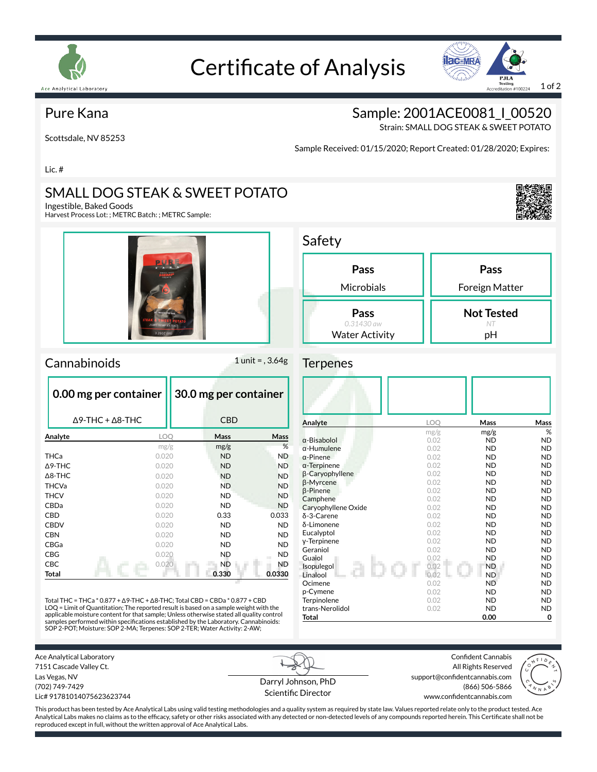

# Certificate of Analysis



### Pure Kana

Scottsdale, NV 85253

Sample: 2001ACE0081\_I\_00520

Strain: SMALL DOG STEAK & SWEET POTATO

Sample Received: 01/15/2020; Report Created: 01/28/2020; Expires:

Lic. #

## SMALL DOG STEAK & SWEET POTATO

Ingestible, Baked Goods

Harvest Process Lot: ; METRC Batch: ; METRC Sample:



#### Cannabinoids 1 unit = , 3.64g

|                   | 0.00 mg per container           | 30.0 mg per container |           |  |
|-------------------|---------------------------------|-----------------------|-----------|--|
|                   | $\Delta$ 9-THC + $\Delta$ 8-THC | <b>CBD</b>            |           |  |
| Analyte           | LOO                             | Mass                  | Mass      |  |
|                   | mg/g                            | mg/g                  | %         |  |
| <b>THCa</b>       | 0.020                           | <b>ND</b>             | <b>ND</b> |  |
| $\Delta$ 9-THC    | 0.020                           | <b>ND</b>             | <b>ND</b> |  |
| $\triangle$ 8-THC | 0.020                           | <b>ND</b>             | <b>ND</b> |  |
| <b>THCVa</b>      | 0.020                           | <b>ND</b>             | <b>ND</b> |  |
| <b>THCV</b>       | 0.020                           | <b>ND</b>             | <b>ND</b> |  |
| CBDa              | 0.020                           | <b>ND</b>             | <b>ND</b> |  |
| CBD               | 0.020                           | 0.33                  | 0.033     |  |
| <b>CBDV</b>       | 0.020                           | <b>ND</b>             | <b>ND</b> |  |
| <b>CBN</b>        | 0.020                           | <b>ND</b>             | <b>ND</b> |  |
| CBGa              | 0.020                           | ND.                   | <b>ND</b> |  |
| CBG               | 0.020                           | <b>ND</b>             | <b>ND</b> |  |
| CBC               | 0.020                           | <b>ND</b>             | ND.       |  |
| Total             |                                 | 0.330                 | 0.0330    |  |

Total THC = THCa \* 0.877 + ∆9-THC + ∆8-THC; Total CBD = CBDa \* 0.877 + CBD LOQ = Limit of Quantitation; The reported result is based on a sample weight with the applicable moisture content for that sample; Unless otherwise stated all quality control<br>samples performed within specifications established by the Laboratory. Cannabinoids:<br>SOP 2-POT; Moisture: SOP 2-MA; Terpenes: SOP 2-T

| Safety                |                   |
|-----------------------|-------------------|
| Pass                  | Pass              |
| Microbials            | Foreign Matter    |
| Pass                  | <b>Not Tested</b> |
| $0.31430$ aw          | NT.               |
| <b>Water Activity</b> | рH                |

#### **Terpenes**

| Analyte             | <b>LOO</b> | Mass      | Mass      |
|---------------------|------------|-----------|-----------|
|                     | mg/g       | mg/g      | %         |
| $\alpha$ -Bisabolol | 0.02       | <b>ND</b> | <b>ND</b> |
| $\alpha$ -Humulene  | 0.02       | <b>ND</b> | <b>ND</b> |
| $\alpha$ -Pinene    | 0.02       | <b>ND</b> | <b>ND</b> |
| $\alpha$ -Terpinene | 0.02       | <b>ND</b> | <b>ND</b> |
| β-Caryophyllene     | 0.02       | <b>ND</b> | <b>ND</b> |
| β-Myrcene           | 0.02       | <b>ND</b> | <b>ND</b> |
| $\beta$ -Pinene     | 0.02       | <b>ND</b> | <b>ND</b> |
| Camphene            | 0.02       | <b>ND</b> | <b>ND</b> |
| Caryophyllene Oxide | 0.02       | <b>ND</b> | <b>ND</b> |
| δ-3-Carene          | 0.02       | <b>ND</b> | <b>ND</b> |
| δ-Limonene          | 0.02       | <b>ND</b> | <b>ND</b> |
| Eucalyptol          | 0.02       | <b>ND</b> | <b>ND</b> |
| y-Terpinene         | 0.02       | <b>ND</b> | <b>ND</b> |
| Geraniol            | 0.02       | <b>ND</b> | <b>ND</b> |
| Guaiol              | 0.02       | <b>ND</b> | <b>ND</b> |
| Isopulegol          | 0.02       | <b>ND</b> | <b>ND</b> |
| Linalool            | 0.02       | <b>ND</b> | <b>ND</b> |
| Ocimene             | 0.02       | <b>ND</b> | <b>ND</b> |
| p-Cymene            | 0.02       | <b>ND</b> | <b>ND</b> |
| Terpinolene         | 0.02       | <b>ND</b> | <b>ND</b> |
| trans-Nerolidol     | 0.02       | <b>ND</b> | <b>ND</b> |
| Total               |            | 0.00      | 0         |

Confident Cannabis All Rights Reserved support@confidentcannabis.com (866) 506-5866



7151 Cascade Valley Ct. Las Vegas, NV (702) 749-7429 Lic# 91781014075623623744

Ace Analytical Laboratory

Darryl Johnson, PhD Scientific Director

www.confidentcannabis.com

This product has been tested by Ace Analytical Labs using valid testing methodologies and a quality system as required by state law. Values reported relate only to the product tested. Ace Analytical Labs makes no claims as to the efficacy, safety or other risks associated with any detected or non-detected levels of any compounds reported herein. This Certificate shall not be reproduced except in full, without the written approval of Ace Analytical Labs.